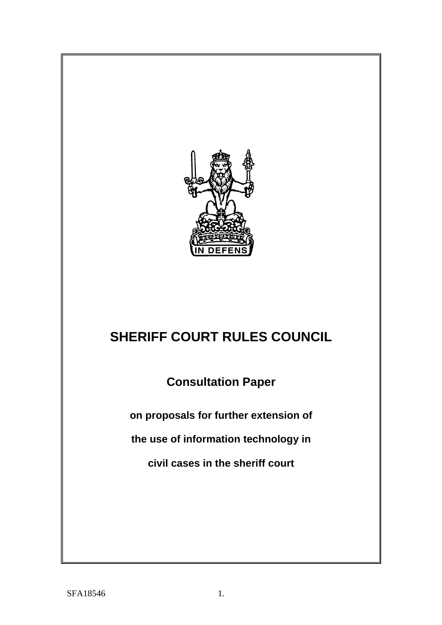

# **SHERIFF COURT RULES COUNCIL**

**Consultation Paper**

**on proposals for further extension of**

**the use of information technology in**

**civil cases in the sheriff court**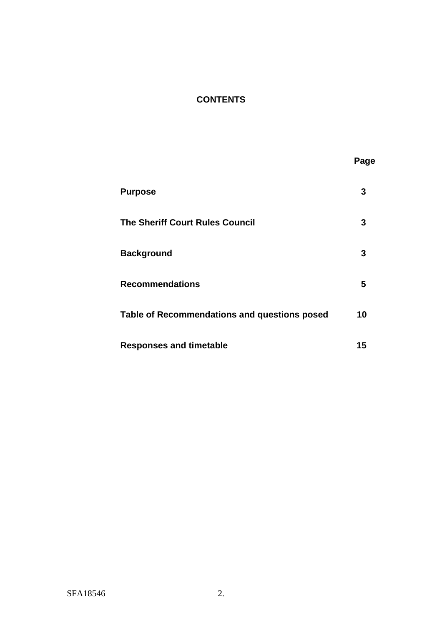# **CONTENTS**

| <b>Purpose</b>                               | 3  |
|----------------------------------------------|----|
| <b>The Sheriff Court Rules Council</b>       | З  |
| <b>Background</b>                            | 3  |
| <b>Recommendations</b>                       | 5  |
| Table of Recommendations and questions posed | 10 |
| <b>Responses and timetable</b>               | 15 |

**Page**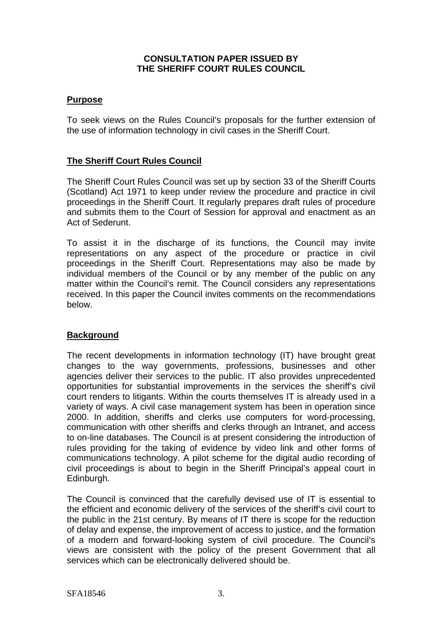## **CONSULTATION PAPER ISSUED BY THE SHERIFF COURT RULES COUNCIL**

# **Purpose**

To seek views on the Rules Council's proposals for the further extension of the use of information technology in civil cases in the Sheriff Court.

# **The Sheriff Court Rules Council**

The Sheriff Court Rules Council was set up by section 33 of the Sheriff Courts (Scotland) Act 1971 to keep under review the procedure and practice in civil proceedings in the Sheriff Court. It regularly prepares draft rules of procedure and submits them to the Court of Session for approval and enactment as an Act of Sederunt.

To assist it in the discharge of its functions, the Council may invite representations on any aspect of the procedure or practice in civil proceedings in the Sheriff Court. Representations may also be made by individual members of the Council or by any member of the public on any matter within the Council's remit. The Council considers any representations received. In this paper the Council invites comments on the recommendations below.

# **Background**

The recent developments in information technology (IT) have brought great changes to the way governments, professions, businesses and other agencies deliver their services to the public. IT also provides unprecedented opportunities for substantial improvements in the services the sheriff's civil court renders to litigants. Within the courts themselves IT is already used in a variety of ways. A civil case management system has been in operation since 2000. In addition, sheriffs and clerks use computers for word-processing, communication with other sheriffs and clerks through an Intranet, and access to on-line databases. The Council is at present considering the introduction of rules providing for the taking of evidence by video link and other forms of communications technology. A pilot scheme for the digital audio recording of civil proceedings is about to begin in the Sheriff Principal's appeal court in Edinburgh.

The Council is convinced that the carefully devised use of IT is essential to the efficient and economic delivery of the services of the sheriff's civil court to the public in the 21st century. By means of IT there is scope for the reduction of delay and expense, the improvement of access to justice, and the formation of a modern and forward-looking system of civil procedure. The Council's views are consistent with the policy of the present Government that all services which can be electronically delivered should be.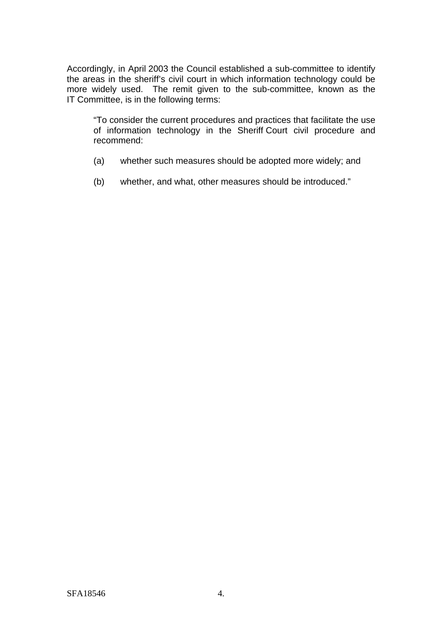Accordingly, in April 2003 the Council established a sub-committee to identify the areas in the sheriff's civil court in which information technology could be more widely used. The remit given to the sub-committee, known as the IT Committee, is in the following terms:

"To consider the current procedures and practices that facilitate the use of information technology in the Sheriff Court civil procedure and recommend:

- (a) whether such measures should be adopted more widely; and
- (b) whether, and what, other measures should be introduced."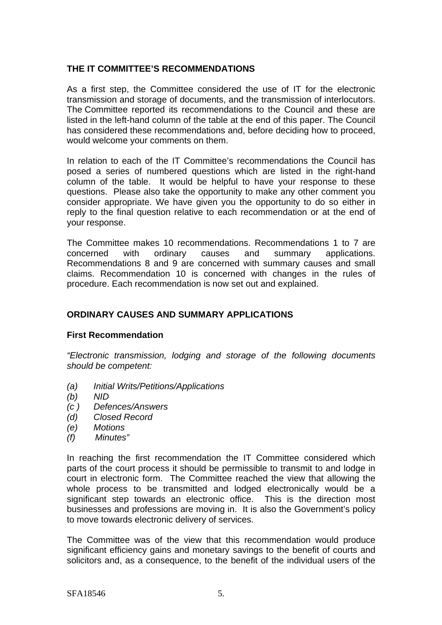## **THE IT COMMITTEE'S RECOMMENDATIONS**

As a first step, the Committee considered the use of IT for the electronic transmission and storage of documents, and the transmission of interlocutors. The Committee reported its recommendations to the Council and these are listed in the left-hand column of the table at the end of this paper. The Council has considered these recommendations and, before deciding how to proceed, would welcome your comments on them.

In relation to each of the IT Committee's recommendations the Council has posed a series of numbered questions which are listed in the right-hand column of the table. It would be helpful to have your response to these questions. Please also take the opportunity to make any other comment you consider appropriate. We have given you the opportunity to do so either in reply to the final question relative to each recommendation or at the end of your response.

The Committee makes 10 recommendations. Recommendations 1 to 7 are concerned with ordinary causes and summary applications. Recommendations 8 and 9 are concerned with summary causes and small claims. Recommendation 10 is concerned with changes in the rules of procedure. Each recommendation is now set out and explained.

# **ORDINARY CAUSES AND SUMMARY APPLICATIONS**

#### **First Recommendation**

*"Electronic transmission, lodging and storage of the following documents should be competent:*

- *(a) Initial Writs/Petitions/Applications*
- *(b) NID*
- *(c ) Defences/Answers*
- *(d) Closed Record*
- *(e) Motions*
- *(f) Minutes"*

In reaching the first recommendation the IT Committee considered which parts of the court process it should be permissible to transmit to and lodge in court in electronic form. The Committee reached the view that allowing the whole process to be transmitted and lodged electronically would be a significant step towards an electronic office. This is the direction most businesses and professions are moving in. It is also the Government's policy to move towards electronic delivery of services.

The Committee was of the view that this recommendation would produce significant efficiency gains and monetary savings to the benefit of courts and solicitors and, as a consequence, to the benefit of the individual users of the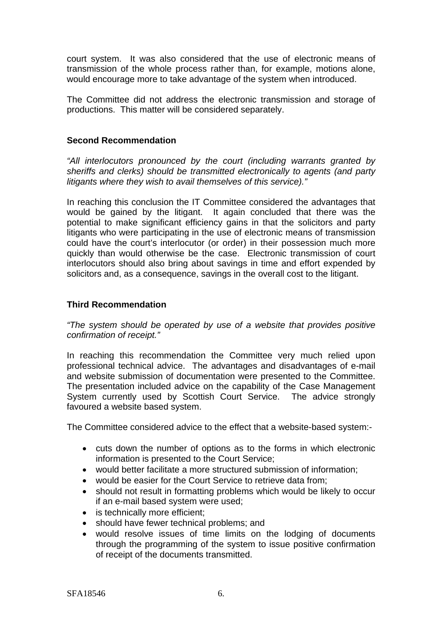court system. It was also considered that the use of electronic means of transmission of the whole process rather than, for example, motions alone, would encourage more to take advantage of the system when introduced.

The Committee did not address the electronic transmission and storage of productions. This matter will be considered separately.

## **Second Recommendation**

*"All interlocutors pronounced by the court (including warrants granted by sheriffs and clerks) should be transmitted electronically to agents (and party litigants where they wish to avail themselves of this service)."*

In reaching this conclusion the IT Committee considered the advantages that would be gained by the litigant. It again concluded that there was the potential to make significant efficiency gains in that the solicitors and party litigants who were participating in the use of electronic means of transmission could have the court's interlocutor (or order) in their possession much more quickly than would otherwise be the case. Electronic transmission of court interlocutors should also bring about savings in time and effort expended by solicitors and, as a consequence, savings in the overall cost to the litigant.

## **Third Recommendation**

## *"The system should be operated by use of a website that provides positive confirmation of receipt."*

In reaching this recommendation the Committee very much relied upon professional technical advice. The advantages and disadvantages of e-mail and website submission of documentation were presented to the Committee. The presentation included advice on the capability of the Case Management System currently used by Scottish Court Service. The advice strongly favoured a website based system.

The Committee considered advice to the effect that a website-based system:-

- cuts down the number of options as to the forms in which electronic information is presented to the Court Service;
- would better facilitate a more structured submission of information;
- would be easier for the Court Service to retrieve data from;
- should not result in formatting problems which would be likely to occur if an e-mail based system were used;
- is technically more efficient;
- should have fewer technical problems; and
- would resolve issues of time limits on the lodging of documents through the programming of the system to issue positive confirmation of receipt of the documents transmitted.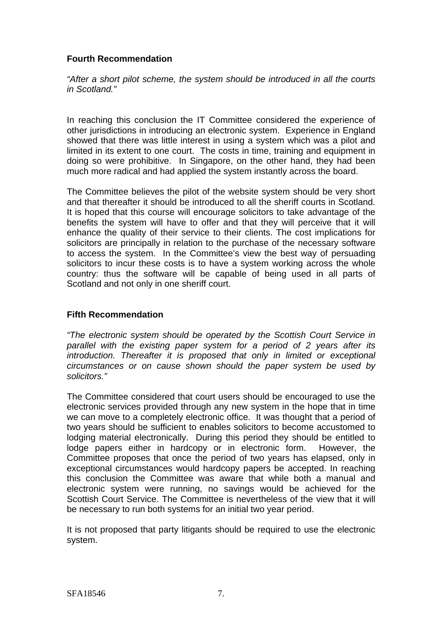# **Fourth Recommendation**

*"After a short pilot scheme, the system should be introduced in all the courts in Scotland."*

In reaching this conclusion the IT Committee considered the experience of other jurisdictions in introducing an electronic system. Experience in England showed that there was little interest in using a system which was a pilot and limited in its extent to one court. The costs in time, training and equipment in doing so were prohibitive. In Singapore, on the other hand, they had been much more radical and had applied the system instantly across the board.

The Committee believes the pilot of the website system should be very short and that thereafter it should be introduced to all the sheriff courts in Scotland. It is hoped that this course will encourage solicitors to take advantage of the benefits the system will have to offer and that they will perceive that it will enhance the quality of their service to their clients. The cost implications for solicitors are principally in relation to the purchase of the necessary software to access the system. In the Committee's view the best way of persuading solicitors to incur these costs is to have a system working across the whole country: thus the software will be capable of being used in all parts of Scotland and not only in one sheriff court.

# **Fifth Recommendation**

*"The electronic system should be operated by the Scottish Court Service in parallel with the existing paper system for a period of 2 years after its introduction. Thereafter it is proposed that only in limited or exceptional circumstances or on cause shown should the paper system be used by solicitors."*

The Committee considered that court users should be encouraged to use the electronic services provided through any new system in the hope that in time we can move to a completely electronic office. It was thought that a period of two years should be sufficient to enables solicitors to become accustomed to lodging material electronically. During this period they should be entitled to lodge papers either in hardcopy or in electronic form. However, the Committee proposes that once the period of two years has elapsed, only in exceptional circumstances would hardcopy papers be accepted. In reaching this conclusion the Committee was aware that while both a manual and electronic system were running, no savings would be achieved for the Scottish Court Service. The Committee is nevertheless of the view that it will be necessary to run both systems for an initial two year period.

It is not proposed that party litigants should be required to use the electronic system.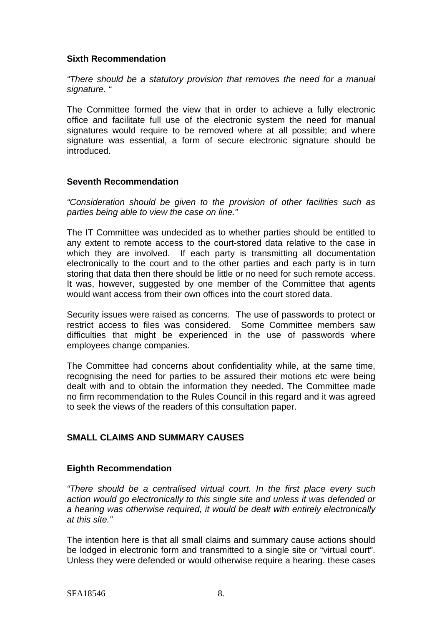# **Sixth Recommendation**

*"There should be a statutory provision that removes the need for a manual signature. "*

The Committee formed the view that in order to achieve a fully electronic office and facilitate full use of the electronic system the need for manual signatures would require to be removed where at all possible; and where signature was essential, a form of secure electronic signature should be introduced.

## **Seventh Recommendation**

*"Consideration should be given to the provision of other facilities such as parties being able to view the case on line."*

The IT Committee was undecided as to whether parties should be entitled to any extent to remote access to the court-stored data relative to the case in which they are involved. If each party is transmitting all documentation electronically to the court and to the other parties and each party is in turn storing that data then there should be little or no need for such remote access. It was, however, suggested by one member of the Committee that agents would want access from their own offices into the court stored data.

Security issues were raised as concerns. The use of passwords to protect or restrict access to files was considered. Some Committee members saw difficulties that might be experienced in the use of passwords where employees change companies.

The Committee had concerns about confidentiality while, at the same time, recognising the need for parties to be assured their motions etc were being dealt with and to obtain the information they needed. The Committee made no firm recommendation to the Rules Council in this regard and it was agreed to seek the views of the readers of this consultation paper.

# **SMALL CLAIMS AND SUMMARY CAUSES**

# **Eighth Recommendation**

*"There should be a centralised virtual court. In the first place every such action would go electronically to this single site and unless it was defended or a hearing was otherwise required, it would be dealt with entirely electronically at this site."*

The intention here is that all small claims and summary cause actions should be lodged in electronic form and transmitted to a single site or "virtual court". Unless they were defended or would otherwise require a hearing. these cases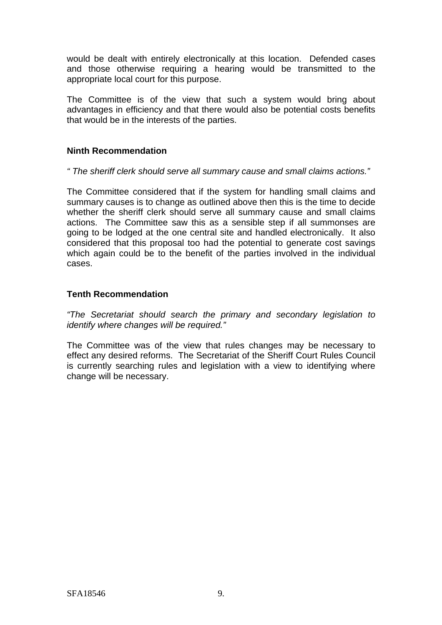would be dealt with entirely electronically at this location. Defended cases and those otherwise requiring a hearing would be transmitted to the appropriate local court for this purpose.

The Committee is of the view that such a system would bring about advantages in efficiency and that there would also be potential costs benefits that would be in the interests of the parties.

# **Ninth Recommendation**

## *" The sheriff clerk should serve all summary cause and small claims actions."*

The Committee considered that if the system for handling small claims and summary causes is to change as outlined above then this is the time to decide whether the sheriff clerk should serve all summary cause and small claims actions. The Committee saw this as a sensible step if all summonses are going to be lodged at the one central site and handled electronically. It also considered that this proposal too had the potential to generate cost savings which again could be to the benefit of the parties involved in the individual cases.

## **Tenth Recommendation**

*"The Secretariat should search the primary and secondary legislation to identify where changes will be required."*

The Committee was of the view that rules changes may be necessary to effect any desired reforms. The Secretariat of the Sheriff Court Rules Council is currently searching rules and legislation with a view to identifying where change will be necessary.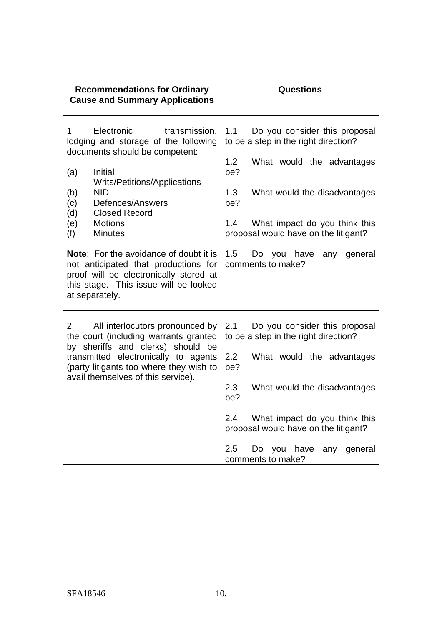| <b>Recommendations for Ordinary</b><br><b>Cause and Summary Applications</b>                                                                                                                                                                                                                                                                                                                                                                                                                        | <b>Questions</b>                                                                                                                                                                                                                                                                                                   |
|-----------------------------------------------------------------------------------------------------------------------------------------------------------------------------------------------------------------------------------------------------------------------------------------------------------------------------------------------------------------------------------------------------------------------------------------------------------------------------------------------------|--------------------------------------------------------------------------------------------------------------------------------------------------------------------------------------------------------------------------------------------------------------------------------------------------------------------|
| Electronic<br>1.<br>transmission,<br>lodging and storage of the following<br>documents should be competent:<br>(a)<br>Initial<br><b>Writs/Petitions/Applications</b><br><b>NID</b><br>(b)<br>(c)<br>Defences/Answers<br>(d)<br><b>Closed Record</b><br>(e)<br><b>Motions</b><br>(f)<br><b>Minutes</b><br><b>Note:</b> For the avoidance of doubt it is<br>not anticipated that productions for<br>proof will be electronically stored at<br>this stage. This issue will be looked<br>at separately. | 1.1<br>Do you consider this proposal<br>to be a step in the right direction?<br>1.2<br>What would the advantages<br>be?<br>1.3<br>What would the disadvantages<br>be?<br>What impact do you think this<br>1.4<br>proposal would have on the litigant?<br>1.5<br>Do you have<br>general<br>any<br>comments to make? |
| 2.<br>All interlocutors pronounced by<br>the court (including warrants granted<br>by sheriffs and clerks) should be<br>transmitted electronically to agents<br>(party litigants too where they wish to<br>avail themselves of this service).                                                                                                                                                                                                                                                        | 2.1<br>Do you consider this proposal<br>to be a step in the right direction?<br>2.2<br>What would the advantages<br>be?<br>2.3<br>What would the disadvantages<br>be?<br>What impact do you think this<br>2.4<br>proposal would have on the litigant?<br>2.5<br>Do you have<br>any<br>general<br>comments to make? |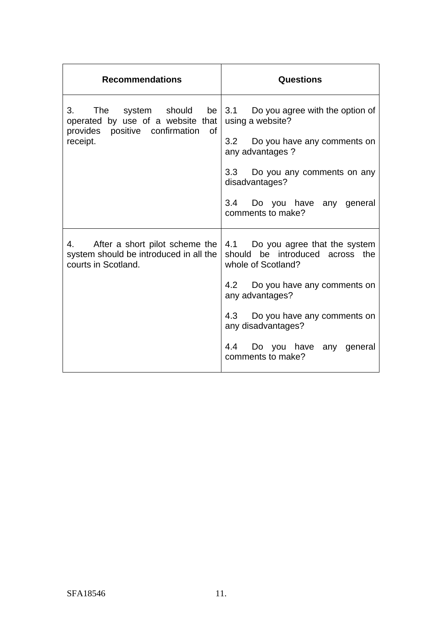| <b>Recommendations</b>                                                                             | Questions                                                                                                                                                                                                                                                    |
|----------------------------------------------------------------------------------------------------|--------------------------------------------------------------------------------------------------------------------------------------------------------------------------------------------------------------------------------------------------------------|
| operated by use of a website that<br>provides positive confirmation<br>of<br>receipt.              | 3. The system should be $\vert$ 3.1 Do you agree with the option of<br>using a website?<br>3.2 Do you have any comments on<br>any advantages?<br>3.3 Do you any comments on any<br>disadvantages?<br>3.4 Do you have any general<br>comments to make?        |
| 4. After a short pilot scheme the<br>system should be introduced in all the<br>courts in Scotland. | 4.1 Do you agree that the system<br>should be introduced across the<br>whole of Scotland?<br>4.2 Do you have any comments on<br>any advantages?<br>4.3 Do you have any comments on<br>any disadvantages?<br>4.4 Do you have any general<br>comments to make? |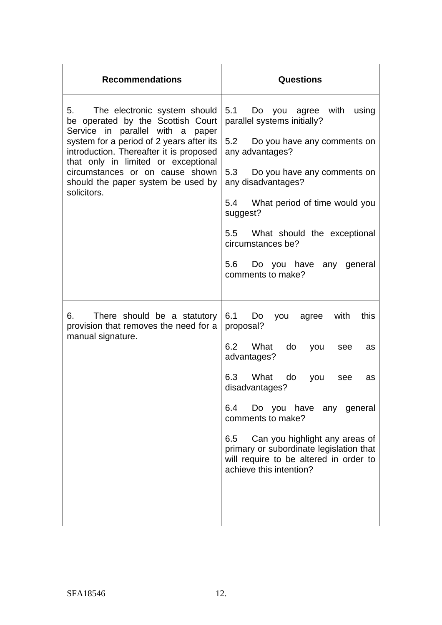| <b>Recommendations</b>                                                                                                                                                                                                                                                                                                            | <b>Questions</b>                                                                                                                                                                                                                                                                                                                                                                 |
|-----------------------------------------------------------------------------------------------------------------------------------------------------------------------------------------------------------------------------------------------------------------------------------------------------------------------------------|----------------------------------------------------------------------------------------------------------------------------------------------------------------------------------------------------------------------------------------------------------------------------------------------------------------------------------------------------------------------------------|
| The electronic system should<br>5.<br>be operated by the Scottish Court<br>Service in parallel with a paper<br>system for a period of 2 years after its<br>introduction. Thereafter it is proposed<br>that only in limited or exceptional<br>circumstances or on cause shown<br>should the paper system be used by<br>solicitors. | 5.1<br>you agree with<br>Do<br>using<br>parallel systems initially?<br>5.2 Do you have any comments on<br>any advantages?<br>5.3 Do you have any comments on<br>any disadvantages?<br>5.4 What period of time would you<br>suggest?<br>5.5 What should the exceptional<br>circumstances be?<br>5.6 Do you have any general<br>comments to make?                                  |
| There should be a statutory<br>provision that removes the need for a<br>manual signature.                                                                                                                                                                                                                                         | 6.1<br>Do<br>this<br>with<br>you<br>agree<br>proposal?<br>6.2 What<br>do<br>you<br>see<br>as<br>advantages?<br>6.3 What<br>do<br>you<br>see<br>as<br>disadvantages?<br>6.4<br>Do you have any general<br>comments to make?<br>6.5 Can you highlight any areas of<br>primary or subordinate legislation that<br>will require to be altered in order to<br>achieve this intention? |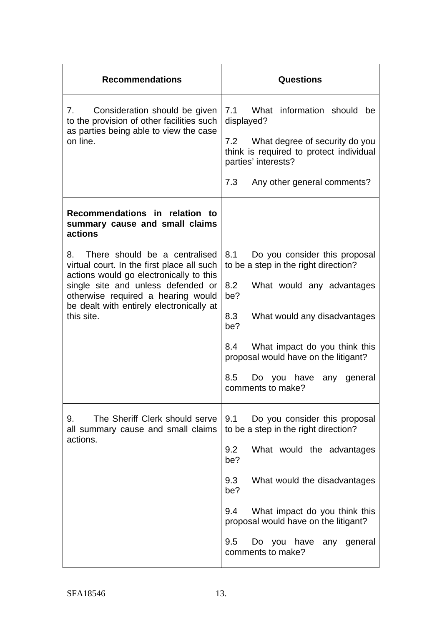| <b>Recommendations</b>                                                                                                                                                                                                                                             | <b>Questions</b>                                                                                                                                                                                                                                                                                                   |
|--------------------------------------------------------------------------------------------------------------------------------------------------------------------------------------------------------------------------------------------------------------------|--------------------------------------------------------------------------------------------------------------------------------------------------------------------------------------------------------------------------------------------------------------------------------------------------------------------|
| Consideration should be given<br>7.<br>to the provision of other facilities such<br>as parties being able to view the case<br>on line.                                                                                                                             | 7.1<br>What information should<br>be<br>displayed?<br>7.2 What degree of security do you<br>think is required to protect individual<br>parties' interests?<br>7.3<br>Any other general comments?                                                                                                                   |
| Recommendations in relation to<br>summary cause and small claims<br>actions                                                                                                                                                                                        |                                                                                                                                                                                                                                                                                                                    |
| There should be a centralised<br>8.<br>virtual court. In the first place all such<br>actions would go electronically to this<br>single site and unless defended or<br>otherwise required a hearing would<br>be dealt with entirely electronically at<br>this site. | 8.1<br>Do you consider this proposal<br>to be a step in the right direction?<br>8.2<br>What would any advantages<br>be?<br>8.3<br>What would any disadvantages<br>be?<br>8.4<br>What impact do you think this<br>proposal would have on the litigant?<br>8.5<br>Do you have<br>any<br>general<br>comments to make? |
| The Sheriff Clerk should serve<br>9.<br>all summary cause and small claims<br>actions.                                                                                                                                                                             | 9.1<br>Do you consider this proposal<br>to be a step in the right direction?<br>9.2<br>What would the advantages<br>be?<br>9.3<br>What would the disadvantages<br>be?<br>9.4<br>What impact do you think this<br>proposal would have on the litigant?<br>9.5<br>Do you have any general<br>comments to make?       |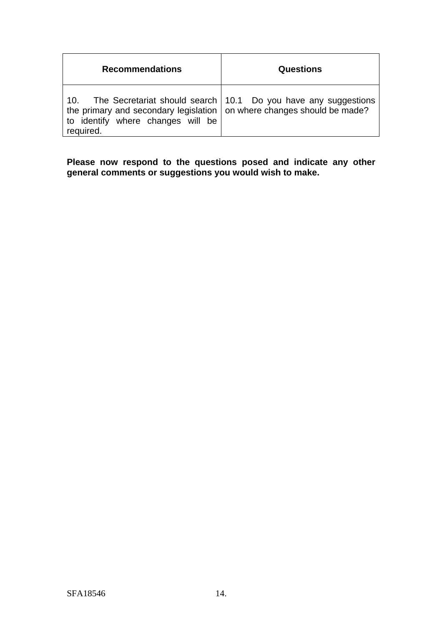| <b>Recommendations</b>                                                                                                          | Questions                                                        |
|---------------------------------------------------------------------------------------------------------------------------------|------------------------------------------------------------------|
| 10.<br>the primary and secondary legislation on where changes should be made?<br>to identify where changes will be<br>required. | The Secretariat should search   10.1 Do you have any suggestions |

**Please now respond to the questions posed and indicate any other general comments or suggestions you would wish to make.**